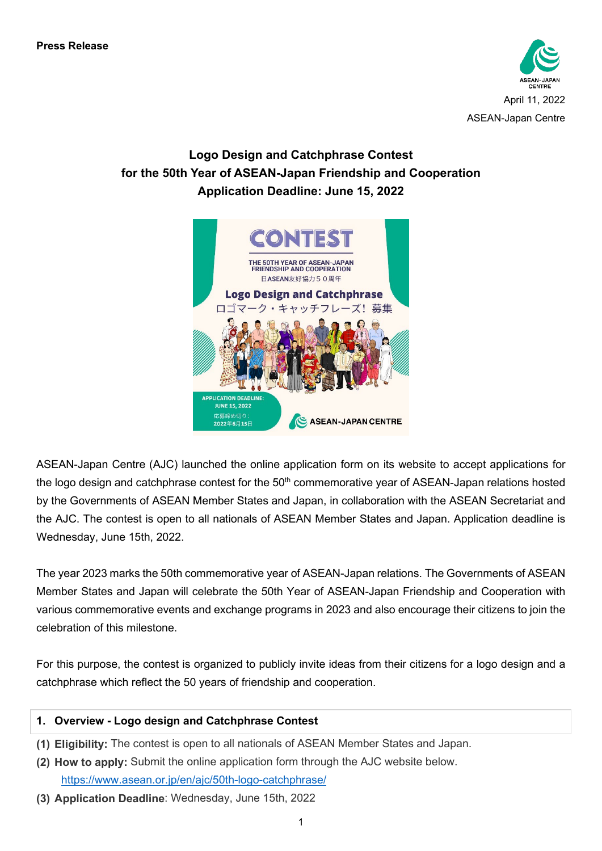

# **Logo Design and Catchphrase Contest for the 50th Year of ASEAN-Japan Friendship and Cooperation Application Deadline: June 15, 2022**



ASEAN-Japan Centre (AJC) launched the online application form on its website to accept applications for the logo design and catchphrase contest for the 50<sup>th</sup> commemorative year of ASEAN-Japan relations hosted by the Governments of ASEAN Member States and Japan, in collaboration with the ASEAN Secretariat and the AJC. The contest is open to all nationals of ASEAN Member States and Japan. Application deadline is Wednesday, June 15th, 2022.

The year 2023 marks the 50th commemorative year of ASEAN-Japan relations. The Governments of ASEAN Member States and Japan will celebrate the 50th Year of ASEAN-Japan Friendship and Cooperation with various commemorative events and exchange programs in 2023 and also encourage their citizens to join the celebration of this milestone.

For this purpose, the contest is organized to publicly invite ideas from their citizens for a logo design and a catchphrase which reflect the 50 years of friendship and cooperation.

### **1. Overview - Logo design and Catchphrase Contest**

- **(1) Eligibility:** The contest is open to all nationals of ASEAN Member States and Japan.
- **(2) How to apply:** Submit the online application form through the AJC website below. <https://www.asean.or.jp/en/ajc/50th-logo-catchphrase/>
- **(3) Application Deadline**: Wednesday, June 15th, 2022